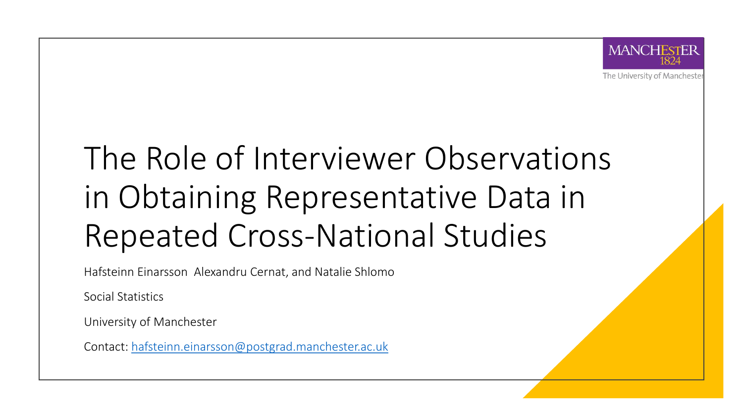

The University of Manchester

### The Role of Interviewer Observations in Obtaining Representative Data in Repeated Cross-National Studies

Hafsteinn Einarsson Alexandru Cernat, and Natalie Shlomo

Social Statistics

University of Manchester

Contact: [hafsteinn.einarsson@postgrad.manchester.ac.uk](mailto:Hafsteinn.einarsson@postgrad.manchester.ac.uk)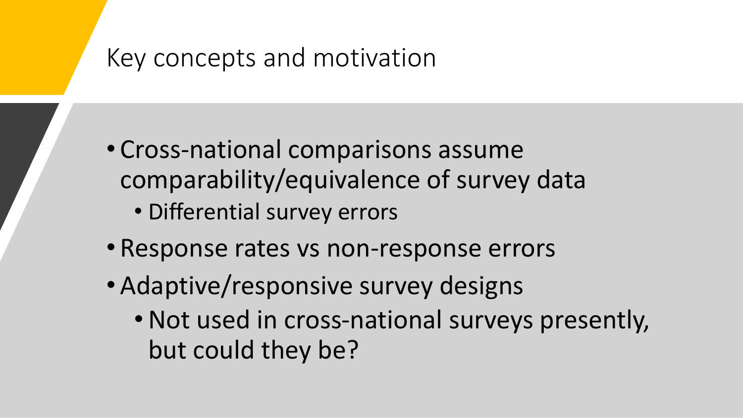#### Key concepts and motivation

- Cross-national comparisons assume comparability/equivalence of survey data
	- Differential survey errors
- Response rates vs non-response errors
- Adaptive/responsive survey designs
	- •Not used in cross-national surveys presently, but could they be?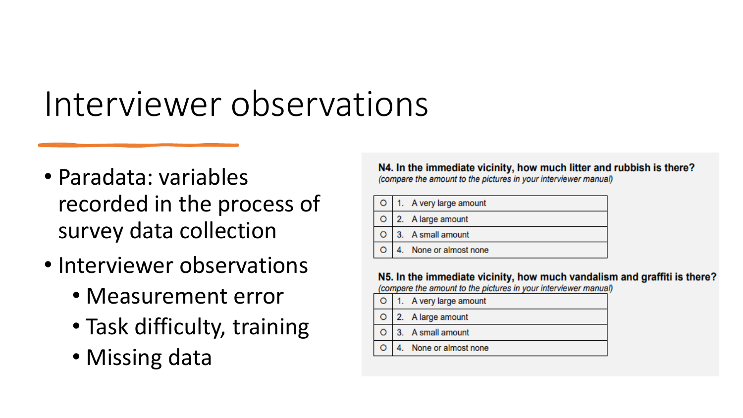## Interviewer observations

- Paradata: variables recorded in the process of survey data collection
- Interviewer observations
	- Measurement error
	- Task difficulty, training
	- Missing data

N4. In the immediate vicinity, how much litter and rubbish is there? (compare the amount to the pictures in your interviewer manual)

|  | O   1. A very large amount   |
|--|------------------------------|
|  | $\bigcirc$ 2. A large amount |
|  | $\bigcirc$ 3. A small amount |
|  | 4. None or almost none       |

N5. In the immediate vicinity, how much vandalism and graffiti is there? (compare the amount to the pictures in your interviewer manual)

- A very large amount O
- 2. A large amount  $\circ$
- 3. A small amount  $\circ$
- None or almost none  $\circ$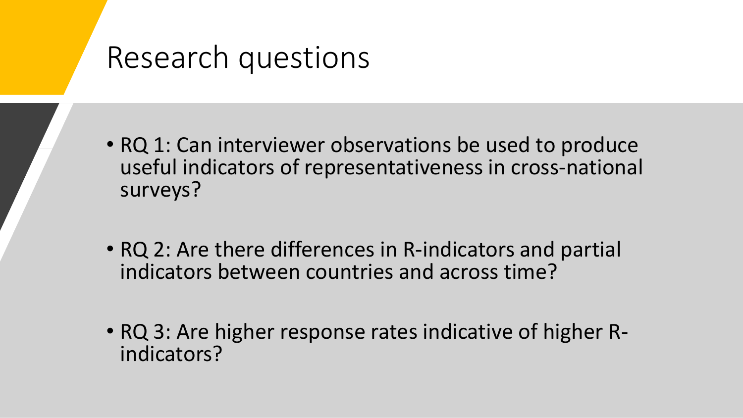#### Research questions

- RQ 1: Can interviewer observations be used to produce useful indicators of representativeness in cross-national surveys?
- RQ 2: Are there differences in R-indicators and partial indicators between countries and across time?
- RQ 3: Are higher response rates indicative of higher Rindicators?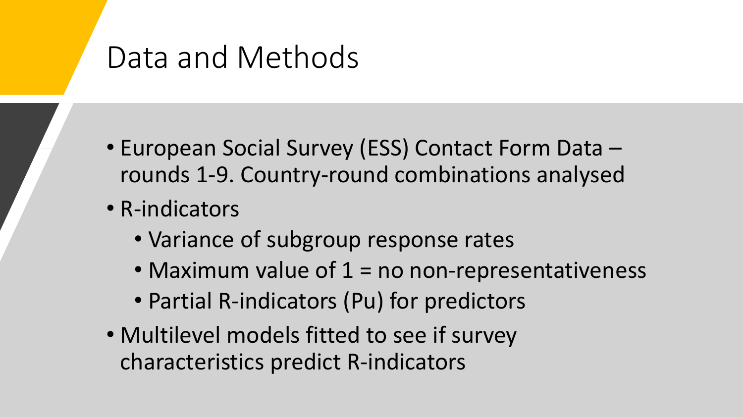### Data and Methods

- European Social Survey (ESS) Contact Form Data rounds 1-9. Country-round combinations analysed
- R-indicators
	- Variance of subgroup response rates
	- Maximum value of  $1 = no non-representativeness$
	- Partial R-indicators (Pu) for predictors
- Multilevel models fitted to see if survey characteristics predict R-indicators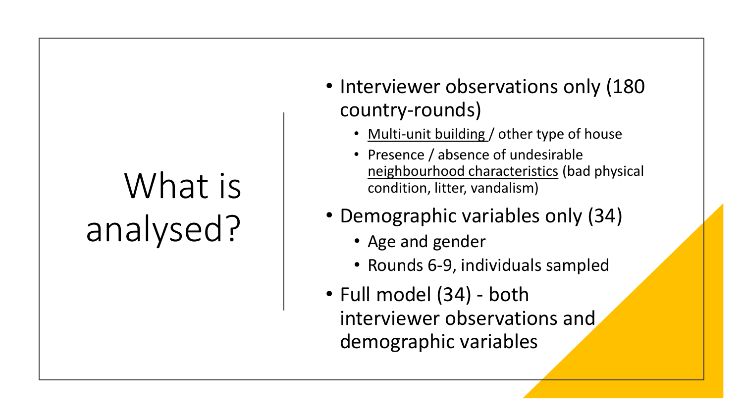## What is analysed?

- Interviewer observations only (180) country-rounds)
	- Multi-unit building / other type of house
	- Presence / absence of undesirable neighbourhood characteristics (bad physical condition, litter, vandalism)
- Demographic variables only (34)
	- Age and gender
	- Rounds 6-9, individuals sampled
- Full model (34) both interviewer observations and demographic variables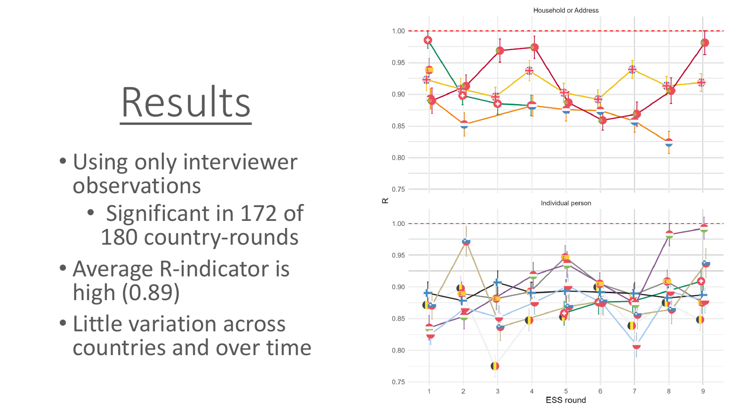# Results

- Using only interviewer observations
	- Significant in 172 of 180 country-rounds
- Average R-indicator is high (0.89)
- Little variation across countries and over time

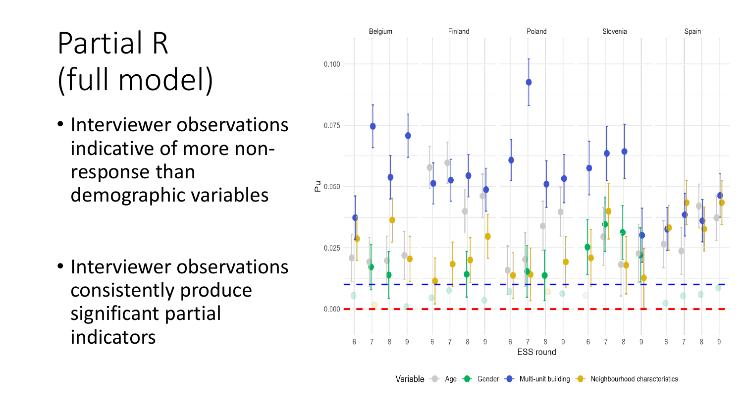### Partial R (full model)

• Interviewer observations indicative of more nonresponse than demographic variables

• Interviewer observations consistently produce significant partial indicators

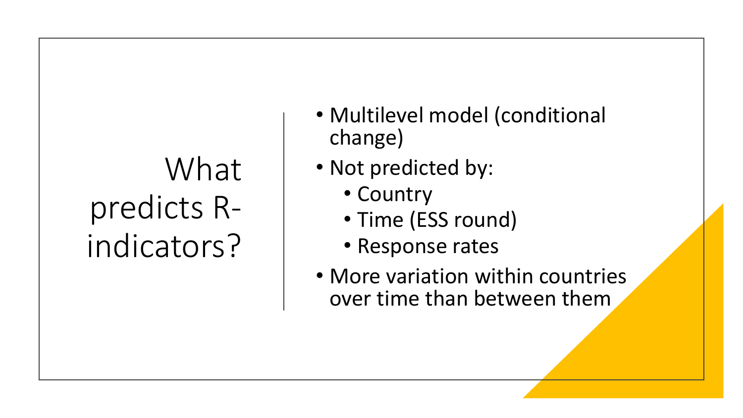## What predicts Rindicators?

- Multilevel model (conditional change)
- Not predicted by:
	- Country
	- Time (ESS round)
	- Response rates
- More variation within countries over time than between them